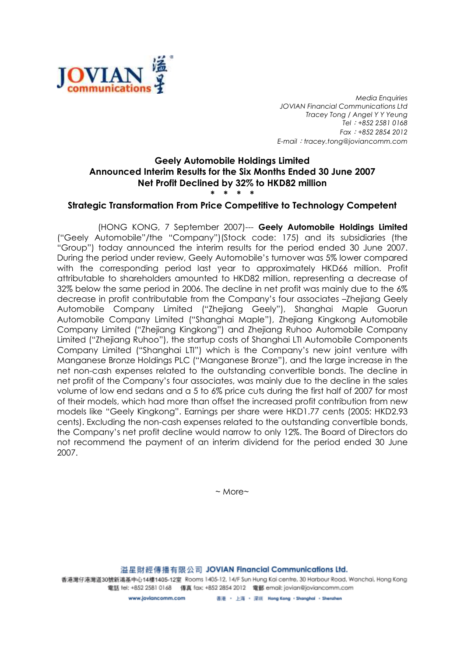

Media Enquiries JOVIAN Financial Communications Ltd Tracey Tong / Angel Y Y Yeung Tel:+852 2581 0168 Fax:+852 2854 2012 E-mail: tracey.tong@joviancomm.com

## Geely Automobile Holdings Limited Announced Interim Results for the Six Months Ended 30 June 2007 Net Profit Declined by 32% to HKD82 million \* \* \* \*

## Strategic Transformation From Price Competitive to Technology Competent

(HONG KONG, 7 September 2007)--- Geely Automobile Holdings Limited ("Geely Automobile"/the "Company")(Stock code: 175) and its subsidiaries (the "Group") today announced the interim results for the period ended 30 June 2007. During the period under review, Geely Automobile's turnover was 5% lower compared with the corresponding period last year to approximately HKD66 million. Profit attributable to shareholders amounted to HKD82 million, representing a decrease of 32% below the same period in 2006. The decline in net profit was mainly due to the 6% decrease in profit contributable from the Company's four associates –Zhejiang Geely Automobile Company Limited ("Zhejiang Geely"), Shanghai Maple Guorun Automobile Company Limited ("Shanghai Maple"), Zhejiang Kingkong Automobile Company Limited ("Zhejiang Kingkong") and Zhejiang Ruhoo Automobile Company Limited ("Zhejiang Ruhoo"), the startup costs of Shanghai LTI Automobile Components Company Limited ("Shanghai LTI") which is the Company's new joint venture with Manganese Bronze Holdings PLC ("Manganese Bronze"), and the large increase in the net non-cash expenses related to the outstanding convertible bonds. The decline in net profit of the Company's four associates, was mainly due to the decline in the sales volume of low end sedans and a 5 to 6% price cuts during the first half of 2007 for most of their models, which had more than offset the increased profit contribution from new models like "Geely Kingkong". Earnings per share were HKD1.77 cents (2005: HKD2.93 cents). Excluding the non-cash expenses related to the outstanding convertible bonds, the Company's net profit decline would narrow to only 12%. The Board of Directors do not recommend the payment of an interim dividend for the period ended 30 June 2007.

 $~\sim$  More $\sim$ 

溢星財經傳播有限公司 JOVIAN Financial Communications Ltd.

香港灣仔港灣道30號新鴻基中心14樓1405-12室 Rooms 1405-12, 14/F Sun Hung Kai centre, 30 Harbour Road, Wanchai, Hong Kong 電話 tel: +852 2581 0168 傳真 fax: +852 2854 2012 電郵 email: jovian@joviancomm.com

> 香港 · 上海 · 深圳 Hong Kong · Shanghai · Shenzhen www.loviancomm.com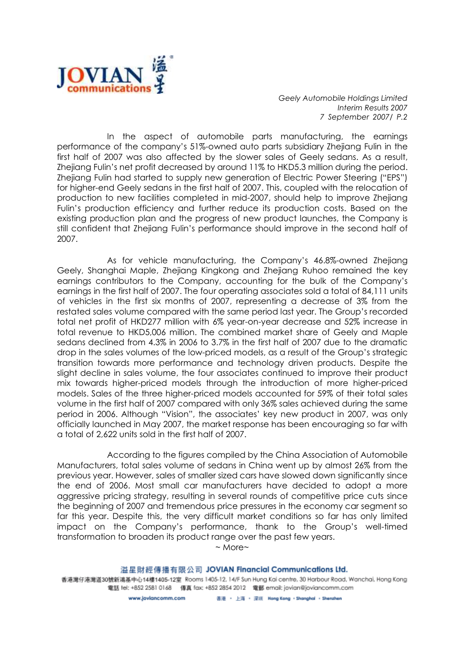

Geely Automobile Holdings Limited Interim Results 2007 7 September 2007/ P.2

In the aspect of automobile parts manufacturing, the earnings performance of the company's 51%-owned auto parts subsidiary Zhejiang Fulin in the first half of 2007 was also affected by the slower sales of Geely sedans. As a result, Zhejiang Fulin's net profit decreased by around 11% to HKD5.3 million during the period. Zhejiang Fulin had started to supply new generation of Electric Power Steering ("EPS") for higher-end Geely sedans in the first half of 2007. This, coupled with the relocation of production to new facilities completed in mid-2007, should help to improve Zhejiang Fulin's production efficiency and further reduce its production costs. Based on the existing production plan and the progress of new product launches, the Company is still confident that Zhejiang Fulin's performance should improve in the second half of 2007.

As for vehicle manufacturing, the Company's 46.8%-owned Zhejiang Geely, Shanghai Maple, Zhejiang Kingkong and Zhejiang Ruhoo remained the key earnings contributors to the Company, accounting for the bulk of the Company's earnings in the first half of 2007. The four operating associates sold a total of 84,111 units of vehicles in the first six months of 2007, representing a decrease of 3% from the restated sales volume compared with the same period last year. The Group's recorded total net profit of HKD277 million with 6% year-on-year decrease and 52% increase in total revenue to HKD5,006 million. The combined market share of Geely and Maple sedans declined from 4.3% in 2006 to 3.7% in the first half of 2007 due to the dramatic drop in the sales volumes of the low-priced models, as a result of the Group's strategic transition towards more performance and technology driven products. Despite the slight decline in sales volume, the four associates continued to improve their product mix towards higher-priced models through the introduction of more higher-priced models. Sales of the three higher-priced models accounted for 59% of their total sales volume in the first half of 2007 compared with only 36% sales achieved during the same period in 2006. Although "Vision", the associates' key new product in 2007, was only officially launched in May 2007, the market response has been encouraging so far with a total of 2,622 units sold in the first half of 2007.

According to the figures compiled by the China Association of Automobile Manufacturers, total sales volume of sedans in China went up by almost 26% from the previous year. However, sales of smaller sized cars have slowed down significantly since the end of 2006. Most small car manufacturers have decided to adopt a more aggressive pricing strategy, resulting in several rounds of competitive price cuts since the beginning of 2007 and tremendous price pressures in the economy car segment so far this year. Despite this, the very difficult market conditions so far has only limited impact on the Company's performance, thank to the Group's well-timed transformation to broaden its product range over the past few years.

 $~\sim$  More $~\sim$ 

溢星財經傳播有限公司 JOVIAN Financial Communications Ltd. 香港灣仔港灣道30號新鴻基中心14樓1405-12室 Rooms 1405-12, 14/F Sun Hung Kai centre, 30 Harbour Road, Wanchai, Hong Kong 電話 tel: +852 2581 0168 傳真 fax: +852 2854 2012 電郵 email: jovian@joviancomm.com 香港 · 上海 · 深圳 Hong Kong · Shanghai · Shenzhen www.loviancomm.com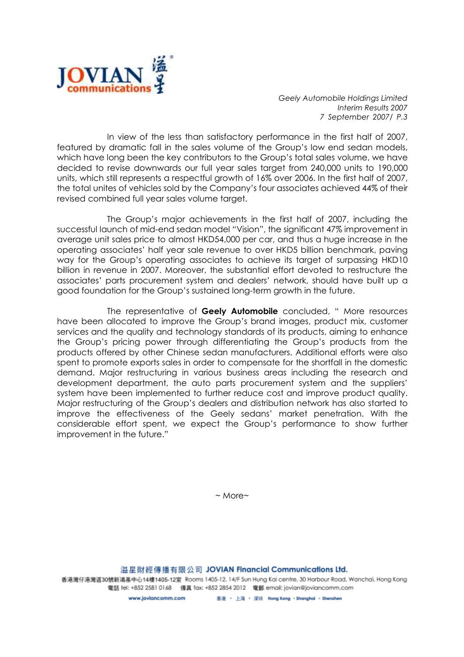

Geely Automobile Holdings Limited Interim Results 2007 7 September 2007/ P.3

In view of the less than satisfactory performance in the first half of 2007, featured by dramatic fall in the sales volume of the Group's low end sedan models, which have long been the key contributors to the Group's total sales volume, we have decided to revise downwards our full year sales target from 240,000 units to 190,000 units, which still represents a respectful growth of 16% over 2006. In the first half of 2007, the total unites of vehicles sold by the Company's four associates achieved 44% of their revised combined full year sales volume target.

The Group's major achievements in the first half of 2007, including the successful launch of mid-end sedan model "Vision", the significant 47% improvement in average unit sales price to almost HKD54,000 per car, and thus a huge increase in the operating associates' half year sale revenue to over HKD5 billion benchmark, paving way for the Group's operating associates to achieve its target of surpassing HKD10 billion in revenue in 2007. Moreover, the substantial effort devoted to restructure the associates' parts procurement system and dealers' network, should have built up a good foundation for the Group's sustained long-term growth in the future.

The representative of Geely Automobile concluded, " More resources have been allocated to improve the Group's brand images, product mix, customer services and the quality and technology standards of its products, aiming to enhance the Group's pricing power through differentiating the Group's products from the products offered by other Chinese sedan manufacturers. Additional efforts were also spent to promote exports sales in order to compensate for the shortfall in the domestic demand. Major restructuring in various business areas including the research and development department, the auto parts procurement system and the suppliers' system have been implemented to further reduce cost and improve product quality. Major restructuring of the Group's dealers and distribution network has also started to improve the effectiveness of the Geely sedans' market penetration. With the considerable effort spent, we expect the Group's performance to show further improvement in the future."

 $~\sim$  More $\sim$ 

溢星財經傳播有限公司 JOVIAN Financial Communications Ltd.

香港灣仔港灣道30號新鴻基中心14樓1405-12室 Rooms 1405-12, 14/F Sun Hung Kai centre, 30 Harbour Road, Wanchai, Hong Kong 電話 tel: +852 2581 0168 傳真 fax: +852 2854 2012 電郵 email: jovian@joviancomm.com

> 香港 · 上海 · 深圳 Hong Kong · Shanghai · Shenzhen www.loviancomm.com